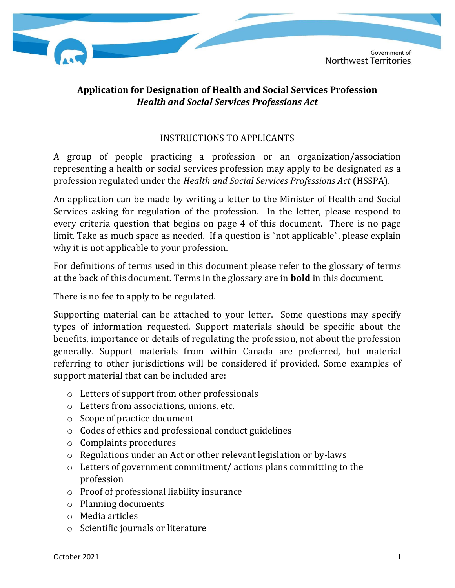

# **Application for Designation of Health and Social Services Profession** *Health and Social Services Professions Act*

## INSTRUCTIONS TO APPLICANTS

A group of people practicing a profession or an organization/association representing a health or social services profession may apply to be designated as a profession regulated under the *Health and Social Services Professions Act* (HSSPA).

An application can be made by writing a letter to the Minister of Health and Social Services asking for regulation of the profession. In the letter, please respond to every criteria question that begins on page 4 of this document. There is no page limit. Take as much space as needed. If a question is "not applicable", please explain why it is not applicable to your profession.

For definitions of terms used in this document please refer to the glossary of terms at the back of this document. Terms in the glossary are in **bold** in this document.

There is no fee to apply to be regulated.

Supporting material can be attached to your letter. Some questions may specify types of information requested. Support materials should be specific about the benefits, importance or details of regulating the profession, not about the profession generally. Support materials from within Canada are preferred, but material referring to other jurisdictions will be considered if provided. Some examples of support material that can be included are:

- o Letters of support from other professionals
- o Letters from associations, unions, etc.
- o Scope of practice document
- o Codes of ethics and professional conduct guidelines
- o Complaints procedures
- o Regulations under an Act or other relevant legislation or by-laws
- o Letters of government commitment/ actions plans committing to the profession
- o Proof of professional liability insurance
- o Planning documents
- o Media articles
- o Scientific journals or literature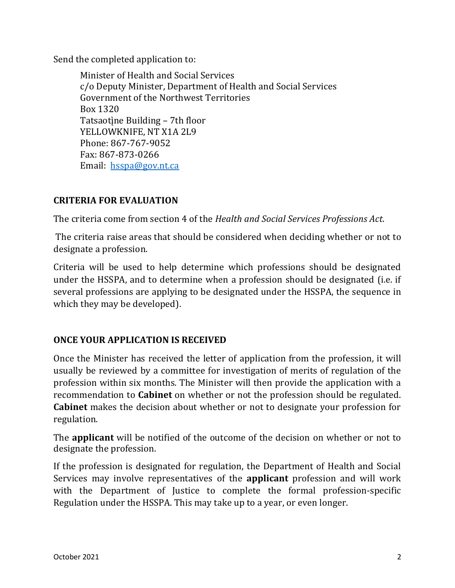Send the completed application to:

Minister of Health and Social Services c/o Deputy Minister, Department of Health and Social Services Government of the Northwest Territories Box 1320 Tatsaotine Building – 7th floor YELLOWKNIFE, NT X1A 2L9 Phone: 867-767-9052 Fax: 867-873-0266 Email: [hsspa@gov.nt.ca](mailto:hsspa@gov.nt.ca)

## **CRITERIA FOR EVALUATION**

The criteria come from section 4 of the *Health and Social Services Professions Act*.

The criteria raise areas that should be considered when deciding whether or not to designate a profession.

Criteria will be used to help determine which professions should be designated under the HSSPA, and to determine when a profession should be designated (i.e. if several professions are applying to be designated under the HSSPA, the sequence in which they may be developed).

## **ONCE YOUR APPLICATION IS RECEIVED**

Once the Minister has received the letter of application from the profession, it will usually be reviewed by a committee for investigation of merits of regulation of the profession within six months. The Minister will then provide the application with a recommendation to **Cabinet** on whether or not the profession should be regulated. **Cabinet** makes the decision about whether or not to designate your profession for regulation.

The **applicant** will be notified of the outcome of the decision on whether or not to designate the profession.

If the profession is designated for regulation, the Department of Health and Social Services may involve representatives of the **applicant** profession and will work with the Department of Justice to complete the formal profession-specific Regulation under the HSSPA. This may take up to a year, or even longer.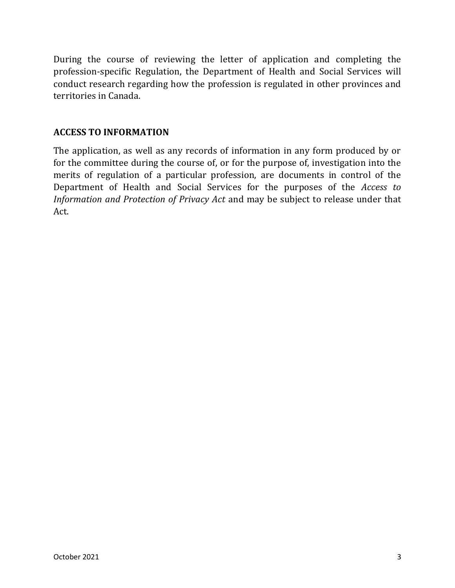During the course of reviewing the letter of application and completing the profession-specific Regulation, the Department of Health and Social Services will conduct research regarding how the profession is regulated in other provinces and territories in Canada.

#### **ACCESS TO INFORMATION**

The application, as well as any records of information in any form produced by or for the committee during the course of, or for the purpose of, investigation into the merits of regulation of a particular profession, are documents in control of the Department of Health and Social Services for the purposes of the *Access to Information and Protection of Privacy Act* and may be subject to release under that Act.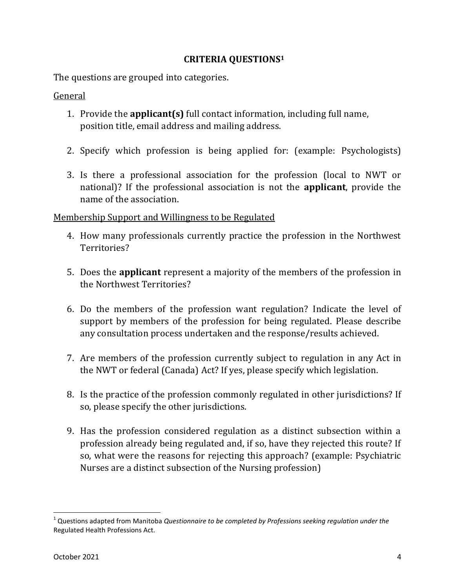#### **CRITERIA QUESTIONS<sup>1</sup>**

The questions are grouped into categories.

**General** 

- 1. Provide the **applicant(s)** full contact information, including full name, position title, email address and mailing address.
- 2. Specify which profession is being applied for: (example: Psychologists)
- 3. Is there a professional association for the profession (local to NWT or national)? If the professional association is not the **applicant**, provide the name of the association.

## Membership Support and Willingness to be Regulated

- 4. How many professionals currently practice the profession in the Northwest Territories?
- 5. Does the **applicant** represent a majority of the members of the profession in the Northwest Territories?
- 6. Do the members of the profession want regulation? Indicate the level of support by members of the profession for being regulated. Please describe any consultation process undertaken and the response/results achieved.
- 7. Are members of the profession currently subject to regulation in any Act in the NWT or federal (Canada) Act? If yes, please specify which legislation.
- 8. Is the practice of the profession commonly regulated in other jurisdictions? If so, please specify the other jurisdictions.
- 9. Has the profession considered regulation as a distinct subsection within a profession already being regulated and, if so, have they rejected this route? If so, what were the reasons for rejecting this approach? (example: Psychiatric Nurses are a distinct subsection of the Nursing profession)

l

<sup>1</sup> Questions adapted from Manitoba *Questionnaire to be completed by Professions seeking regulation under the*  Regulated Health Professions Act.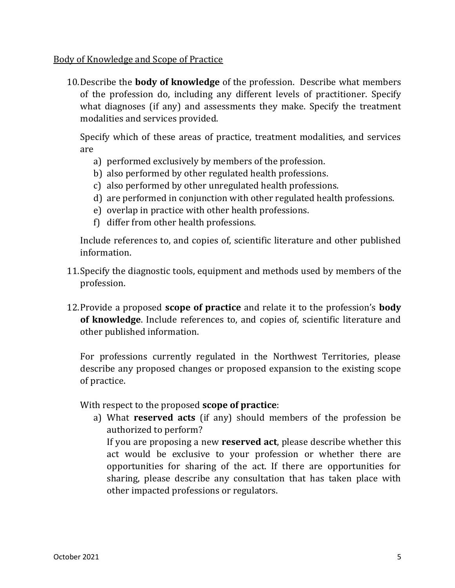Body of Knowledge and Scope of Practice

10.Describe the **body of knowledge** of the profession. Describe what members of the profession do, including any different levels of practitioner. Specify what diagnoses (if any) and assessments they make. Specify the treatment modalities and services provided.

Specify which of these areas of practice, treatment modalities, and services are

- a) performed exclusively by members of the profession.
- b) also performed by other regulated health professions.
- c) also performed by other unregulated health professions.
- d) are performed in conjunction with other regulated health professions.
- e) overlap in practice with other health professions.
- f) differ from other health professions.

Include references to, and copies of, scientific literature and other published information.

- 11.Specify the diagnostic tools, equipment and methods used by members of the profession.
- 12.Provide a proposed **scope of practice** and relate it to the profession's **body of knowledge**. Include references to, and copies of, scientific literature and other published information.

For professions currently regulated in the Northwest Territories, please describe any proposed changes or proposed expansion to the existing scope of practice.

With respect to the proposed **scope of practice**:

a) What **reserved acts** (if any) should members of the profession be authorized to perform?

If you are proposing a new **reserved act**, please describe whether this act would be exclusive to your profession or whether there are opportunities for sharing of the act. If there are opportunities for sharing, please describe any consultation that has taken place with other impacted professions or regulators.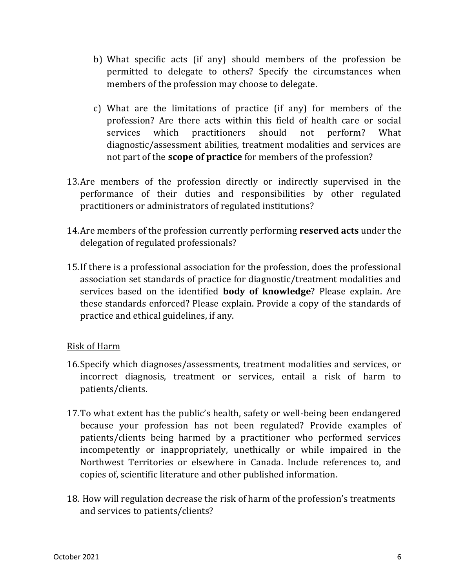- b) What specific acts (if any) should members of the profession be permitted to delegate to others? Specify the circumstances when members of the profession may choose to delegate.
- c) What are the limitations of practice (if any) for members of the profession? Are there acts within this field of health care or social services which practitioners should not perform? What diagnostic/assessment abilities, treatment modalities and services are not part of the **scope of practice** for members of the profession?
- 13.Are members of the profession directly or indirectly supervised in the performance of their duties and responsibilities by other regulated practitioners or administrators of regulated institutions?
- 14.Are members of the profession currently performing **reserved acts** under the delegation of regulated professionals?
- 15.If there is a professional association for the profession, does the professional association set standards of practice for diagnostic/treatment modalities and services based on the identified **body of knowledge**? Please explain. Are these standards enforced? Please explain. Provide a copy of the standards of practice and ethical guidelines, if any.

## Risk of Harm

- 16.Specify which diagnoses/assessments, treatment modalities and services, or incorrect diagnosis, treatment or services, entail a risk of harm to patients/clients.
- 17.To what extent has the public's health, safety or well-being been endangered because your profession has not been regulated? Provide examples of patients/clients being harmed by a practitioner who performed services incompetently or inappropriately, unethically or while impaired in the Northwest Territories or elsewhere in Canada. Include references to, and copies of, scientific literature and other published information.
- 18. How will regulation decrease the risk of harm of the profession's treatments and services to patients/clients?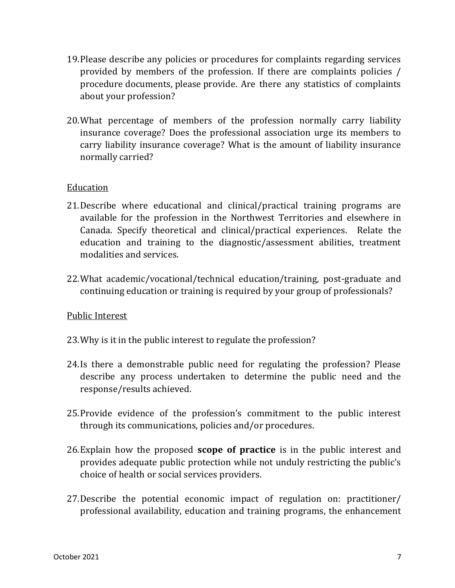- 19.Please describe any policies or procedures for complaints regarding services provided by members of the profession. If there are complaints policies / procedure documents, please provide. Are there any statistics of complaints about your profession?
- 20.What percentage of members of the profession normally carry liability insurance coverage? Does the professional association urge its members to carry liability insurance coverage? What is the amount of liability insurance normally carried?

#### Education

- 21.Describe where educational and clinical/practical training programs are available for the profession in the Northwest Territories and elsewhere in Canada. Specify theoretical and clinical/practical experiences. Relate the education and training to the diagnostic/assessment abilities, treatment modalities and services.
- 22.What academic/vocational/technical education/training, post-graduate and continuing education or training is required by your group of professionals?

## Public Interest

- 23.Why is it in the public interest to regulate the profession?
- 24.Is there a demonstrable public need for regulating the profession? Please describe any process undertaken to determine the public need and the response/results achieved.
- 25.Provide evidence of the profession's commitment to the public interest through its communications, policies and/or procedures.
- 26.Explain how the proposed **scope of practice** is in the public interest and provides adequate public protection while not unduly restricting the public's choice of health or social services providers.
- 27.Describe the potential economic impact of regulation on: practitioner/ professional availability, education and training programs, the enhancement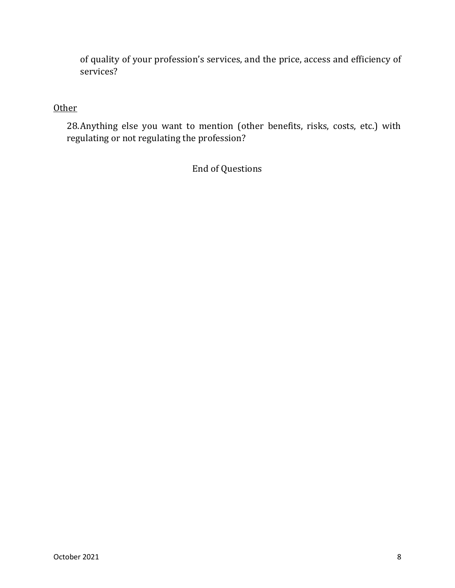of quality of your profession's services, and the price, access and efficiency of services?

## **Other**

28.Anything else you want to mention (other benefits, risks, costs, etc.) with regulating or not regulating the profession?

End of Questions